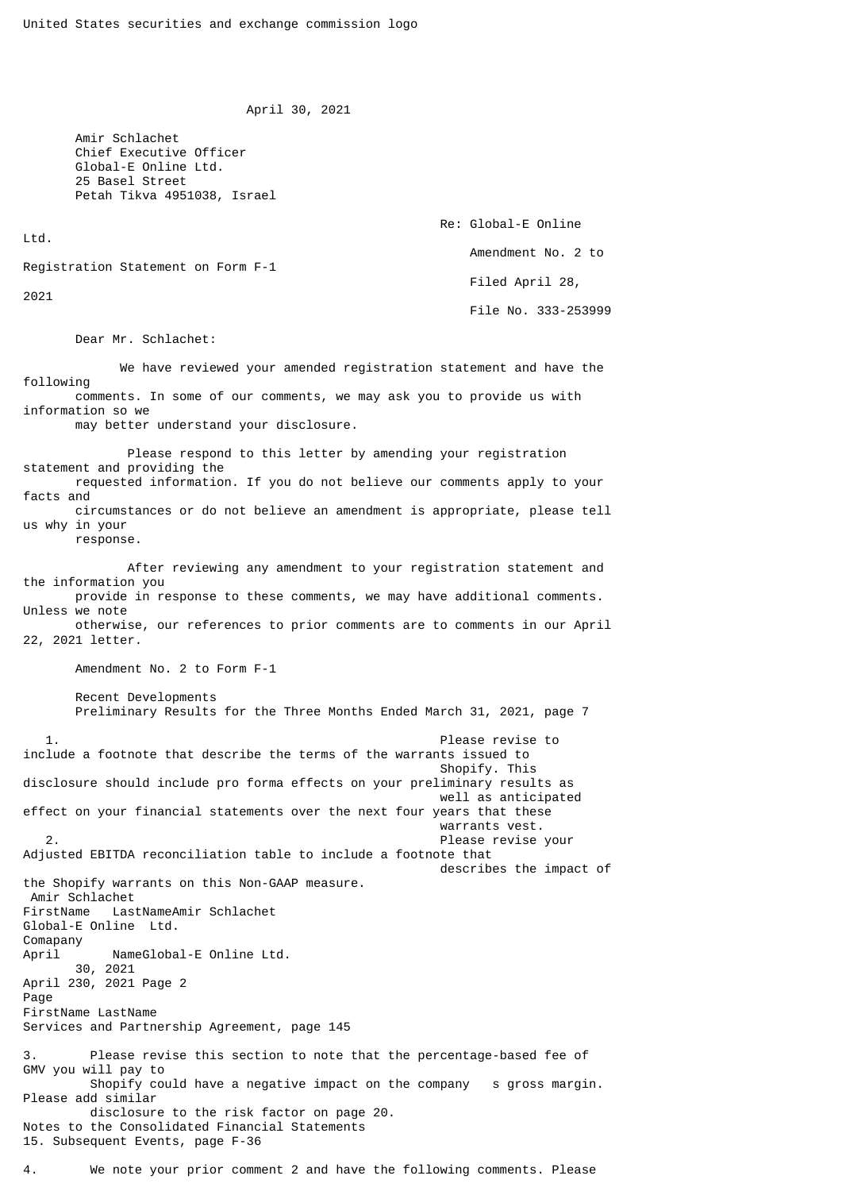April 30, 2021

 Amir Schlachet Chief Executive Officer Global-E Online Ltd. 25 Basel Street Petah Tikva 4951038, Israel

 Re: Global-E Online Ltd. Amendment No. 2 to Registration Statement on Form F-1 Filed April 28, 2021 File No. 333-253999

Dear Mr. Schlachet:

 We have reviewed your amended registration statement and have the following comments. In some of our comments, we may ask you to provide us with information so we

may better understand your disclosure.

 Please respond to this letter by amending your registration statement and providing the requested information. If you do not believe our comments apply to your facts and circumstances or do not believe an amendment is appropriate, please tell us why in your

response.

 After reviewing any amendment to your registration statement and the information you provide in response to these comments, we may have additional comments.

Unless we note otherwise, our references to prior comments are to comments in our April 22, 2021 letter.

Amendment No. 2 to Form F-1

 Recent Developments Preliminary Results for the Three Months Ended March 31, 2021, page 7

 1. Please revise to include a footnote that describe the terms of the warrants issued to Shopify. This disclosure should include pro forma effects on your preliminary results as well as anticipated effect on your financial statements over the next four years that these warrants vest. 2. Please revise your Adjusted EBITDA reconciliation table to include a footnote that describes the impact of the Shopify warrants on this Non-GAAP measure. Amir Schlachet FirstName LastNameAmir Schlachet Global-E Online Ltd. Comapany April NameGlobal-E Online Ltd. 30, 2021 April 230, 2021 Page 2 Page FirstName LastName Services and Partnership Agreement, page 145 Please revise this section to note that the percentage-based fee of GMV you will pay to Shopify could have a negative impact on the company s gross margin. Please add similar disclosure to the risk factor on page 20. Notes to the Consolidated Financial Statements 15. Subsequent Events, page F-36

4. We note your prior comment 2 and have the following comments. Please